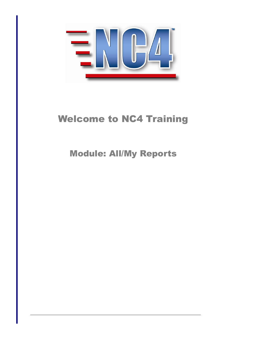

# Welcome to NC4 Training

Module: All/My Reports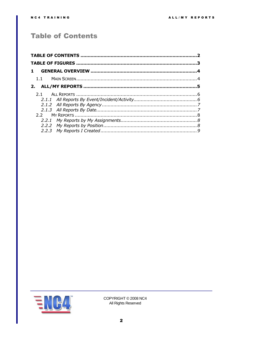# <span id="page-1-0"></span>**Table of Contents**

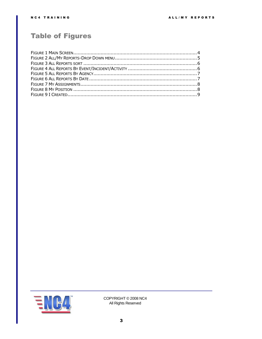# <span id="page-2-0"></span>**Table of Figures**

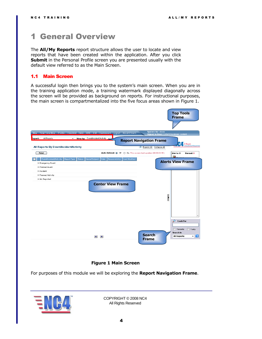# <span id="page-3-0"></span>1 General Overview

The **All/My Reports** report structure allows the user to locate and view reports that have been created within the application. After you click **Submit** in the Personal Profile screen you are presented usually with the default view referred to as the Main Screen.

# <span id="page-3-1"></span>1.1 Main Screen

A successful login then brings you to the system's main screen. When you are in the training application mode, a training watermark displayed diagonally across the screen will be provided as background on reports. For instructional purposes, the main screen is compartmentalized into the five focus areas shown in [Figure 1.](#page-3-2)



# **Figure 1 Main Screen**

<span id="page-3-2"></span>For purposes of this module we will be exploring the **Report Navigation Frame**.

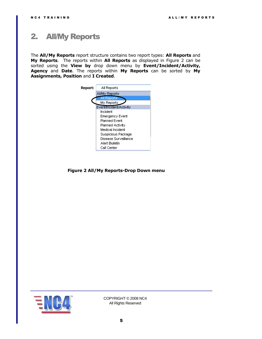# <span id="page-4-0"></span>2. All/My Reports

The **All/My Reports** report structure contains two report types: **All Reports** and **My Reports**. The reports within **All Reports** as displayed in [Figure 2](#page-4-1) can be sorted using the **View by** drop down menu by **Event/Incident/Activity, Agency** and **Date**. The reports within **My Reports** can be sorted by **My Assignments, Position** and **I Created**.

<span id="page-4-1"></span>

**Figure 2 All/My Reports-Drop Down menu**

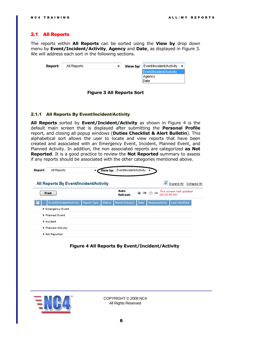### <span id="page-5-0"></span>2.1 All Reports

The reports within **All Reports** can be sorted using the **View by** drop down menu by **Event/Incident/Activity**, **Agency** and **Date**, as displayed in [Figure 3.](#page-5-2) We will address each sort in the following sections.

| Report: | All Reports |  | <b>View by:</b> Event/Incident/Activity $\blacktriangledown$ |  |
|---------|-------------|--|--------------------------------------------------------------|--|
|         |             |  | Event/Incident/Activity<br>Agency<br>Date                    |  |

#### **Figure 3 All Reports Sort**

#### <span id="page-5-2"></span><span id="page-5-1"></span>2.1.1 All Reports By Event/Incident/Activity

**All Reports** sorted by **Event/Incident/Activity** as shown in [Figure 4](#page-5-3) is the default main screen that is displayed after submitting the **Personal Profile** report, and closing all popup windows (**Duties Checklist & Alert Bulletin**). This alphabetical sort allows the user to locate and view reports that have been created and associated with an Emergency Event, Incident, Planned Event, and Planned Activity. In addition, the non associated reports are categorized **as Not Reported**. It is a good practice to review the **Not Reported** summary to assess if any reports should be associated with the other categories mentioned above.

| Report: | All Reports                            | View by:               | Event/Incident/Activity ▼ |             |                                 |               |                          |              |
|---------|----------------------------------------|------------------------|---------------------------|-------------|---------------------------------|---------------|--------------------------|--------------|
|         | All Reports By Event/Incident/Activity |                        |                           |             |                                 | e             | Expand All               | Collapse All |
|         | <b>Print</b>                           |                        | Auto<br>Refresh           | $\bullet$   | On<br>$\circ$ ff $\circledcirc$ | (00:00:06:59) | This screen last updated |              |
|         | Event/Indident/Activity                | Status:<br>Report Type | Name/Subject              | <b>Date</b> | <b>Responsibility</b>           |               | Last Modified            |              |
|         | Emergency Event                        |                        |                           |             |                                 |               |                          |              |
|         | Planned Event                          |                        |                           |             |                                 |               |                          |              |
|         | $\blacktriangleright$ Incident         |                        |                           |             |                                 |               |                          |              |
|         | ▶ Planned Activity                     |                        |                           |             |                                 |               |                          |              |
|         | Not Reported                           |                        |                           |             |                                 |               |                          |              |

#### <span id="page-5-3"></span> **Figure 4 All Reports By Event/Incident/Activity**

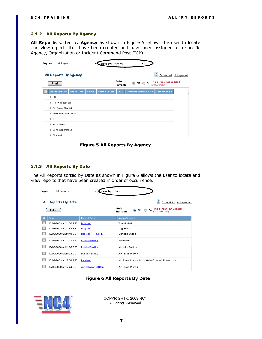## <span id="page-6-0"></span>2.1.2 All Reports By Agency

**All Reports** sorted by **Agency** as shown in [Figure 5,](#page-6-2) allows the user to locate and view reports that have been created and have been assigned to a specific Agency, Organization or Incident Command Post (ICP).

| Report:                   | All Reports              |             |         | View by: Agency |                 |                         |     |          |                                           |               |              |
|---------------------------|--------------------------|-------------|---------|-----------------|-----------------|-------------------------|-----|----------|-------------------------------------------|---------------|--------------|
|                           | All Reports By Agency    |             |         |                 |                 |                         |     |          | ø                                         | Expand All    | Collapse All |
|                           | <b>Print</b>             |             |         |                 | Auto<br>Refresh | $\bullet$               | Off | ⊙<br>On. | This screen last updated<br>(00:00:00:04) |               |              |
|                           | Responsibility           | Report Type | Status: | Name/Subject    | Date            | Event/Indident/Activity |     |          |                                           | Last Modified |              |
| ▶ NR                      |                          |             |         |                 |                 |                         |     |          |                                           |               |              |
|                           | ▶ A & W Electrical       |             |         |                 |                 |                         |     |          |                                           |               |              |
|                           | Air Force Plant 4        |             |         |                 |                 |                         |     |          |                                           |               |              |
|                           | American Red Cross       |             |         |                 |                 |                         |     |          |                                           |               |              |
| $\blacktriangleright$ ATF |                          |             |         |                 |                 |                         |     |          |                                           |               |              |
|                           | Bill Sentre              |             |         |                 |                 |                         |     |          |                                           |               |              |
|                           | <b>EBIL's Generators</b> |             |         |                 |                 |                         |     |          |                                           |               |              |
|                           | City Hall                |             |         |                 |                 |                         |     |          |                                           |               |              |

**Figure 5 All Reports By Agency**

## <span id="page-6-2"></span><span id="page-6-1"></span>2.1.3 All Reports By Date

The All Reports sorted by Date as shown in [Figure 6](#page-6-3) allows the user to locate and view reports that have been created in order of occurrence.

| Report: | All Reports             | View by:               | Date                                                                                    |
|---------|-------------------------|------------------------|-----------------------------------------------------------------------------------------|
|         | All Reports By Date     |                        | e<br>Expand All<br>Collapse All                                                         |
|         | <b>Print</b>            |                        | Auto<br>This screen last updated<br>Off<br>$\bullet$<br>On.<br>(00:00:00:05)<br>Refresh |
|         | Date                    | Report Type            | Name/Subject                                                                            |
|         | 10/08/2009 at 21:50 EST | Duty Log               | Travel alert                                                                            |
|         | 10/08/2009 at 21:48 EST | Duty Log               | Log Entry 1                                                                             |
|         | 10/08/2009 at 21:15 EST | HazMat T-II Facility   | Marietta Bldg 5                                                                         |
|         | 10/08/2009 at 21:07 EST | <b>Public Facility</b> | Palmdale                                                                                |
|         | 10/08/2009 at 21:05 EST | <b>Public Facility</b> | Marietta Facility                                                                       |
|         | 10/08/2009 at 21:04 EST | <b>Public Facility</b> | Air Force Plant 4                                                                       |
|         | 10/08/2009 at 17:56 EST | Incident               | Air Force Plant 4 Front Gate Downed Power Line                                          |
|         | 10/08/2009 at 17:44 EST | Jurisdiction SitRep    | Air Force Plant 4                                                                       |

**Figure 6 All Reports By Date**

<span id="page-6-3"></span>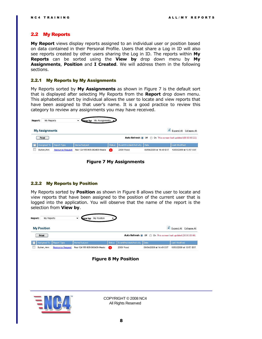#### <span id="page-7-0"></span>2.2 My Reports

**My Report** views display reports assigned to an individual user or position based on data contained in their Personal Profile. Users that share a Log in ID will also see reports created by other users sharing the Log in ID. The reports within **My Reports** can be sorted using the **View by** drop down menu by **My Assignments**, **Position** and **I Created**. We will address them in the following sections.

#### <span id="page-7-1"></span>2.2.1 My Reports by My Assignments

My Reports sorted by **My Assignments** as shown in [Figure 7](#page-7-3) is the default sort that is displayed after selecting My Reports from the **Report** drop down menu. This alphabetical sort by individual allows the user to locate and view reports that have been assigned to that user's name. It is a good practice to review this category to review any assignments you may have received.

| Report: | My Reports                                                                     |                         |                             | View by: My Assignments |        |                              |                         |                         |  |  |
|---------|--------------------------------------------------------------------------------|-------------------------|-----------------------------|-------------------------|--------|------------------------------|-------------------------|-------------------------|--|--|
|         | е<br><b>My Assignments</b><br>Expand All Collapse All                          |                         |                             |                         |        |                              |                         |                         |  |  |
|         | Auto Refresh @ Off @ On This screen last updated (00:00:00:22)<br><b>Print</b> |                         |                             |                         |        |                              |                         |                         |  |  |
|         | Assigned To                                                                    | Report Type             | Name/Subject                |                         | Status | Event/Indident/Activity Date |                         | Last Modified           |  |  |
|         | Bullen, Ann                                                                    | <b>Resource Request</b> | Res-124155-905-060409-Meals |                         | (R)    | 2009 Flood                   | 06/04/2009 at 14:49 EST | 10/03/2009 at 13:57 EST |  |  |

**Figure 7 My Assignments**

# <span id="page-7-3"></span><span id="page-7-2"></span>2.2.2 My Reports by Position

My Reports sorted by **Position** as shown in [Figure 8](#page-7-4) allows the user to locate and view reports that have been assigned to the position of the current user that is logged into the application. You will observe that the name of the report is the selection from **View by**.

| Report: | My Reports         |                         | <b>View by:</b>             | My Position | $\overline{\phantom{a}}$ |                         |                                                                |               |                         |
|---------|--------------------|-------------------------|-----------------------------|-------------|--------------------------|-------------------------|----------------------------------------------------------------|---------------|-------------------------|
|         | <b>My Position</b> |                         |                             |             |                          |                         |                                                                |               | Expand All Collapse All |
|         | <b>Print</b>       |                         |                             |             |                          |                         | Auto Refresh O Off O On This screen last updated (00:00:00:06) |               |                         |
|         | Assigned To        | Report Type             | Name/Subject                |             | Status                   | Event/Indident/Activity | Date                                                           | Last Modified |                         |
|         | Bullen, Ann        | <b>Resource Request</b> | Res-124155-905-060409-Meals |             | (R)                      | 2009 Flood              | 06/04/2009 at 14:49 EST                                        |               | 10/03/2009 at 13:57 EST |

## **Figure 8 My Position**

<span id="page-7-4"></span>